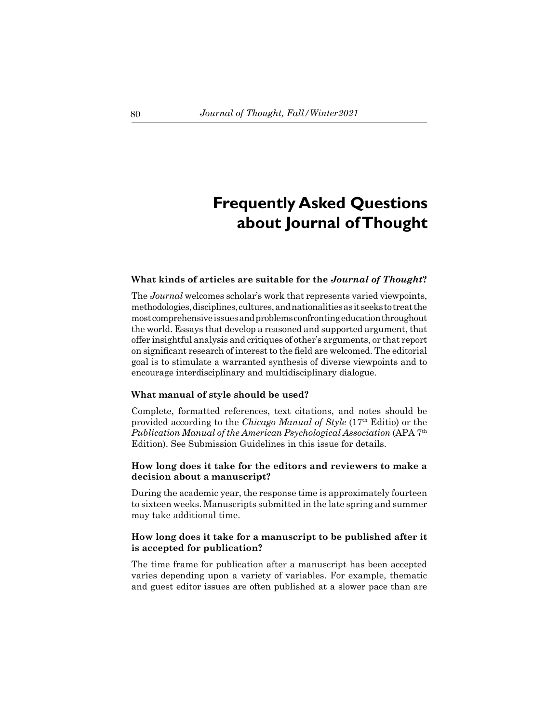# **Frequently Asked Questions about Journal of Thought**

#### **What kinds of articles are suitable for the** *Journal of Thought***?**

The *Journal* welcomes scholar's work that represents varied viewpoints, methodologies, disciplines, cultures, and nationalities as it seeks to treat the most comprehensive issues and problems confronting education throughout the world. Essays that develop a reasoned and supported argument, that offer insightful analysis and critiques of other's arguments, or that report on significant research of interest to the field are welcomed. The editorial goal is to stimulate a warranted synthesis of diverse viewpoints and to encourage interdisciplinary and multidisciplinary dialogue.

#### **What manual of style should be used?**

Complete, formatted references, text citations, and notes should be provided according to the *Chicago Manual of Style* (17th Editio) or the *Publication Manual of the American Psychological Association* (APA 7th Edition). See Submission Guidelines in this issue for details.

## **How long does it take for the editors and reviewers to make a decision about a manuscript?**

During the academic year, the response time is approximately fourteen to sixteen weeks. Manuscripts submitted in the late spring and summer may take additional time.

### **How long does it take for a manuscript to be published after it is accepted for publication?**

The time frame for publication after a manuscript has been accepted varies depending upon a variety of variables. For example, thematic and guest editor issues are often published at a slower pace than are